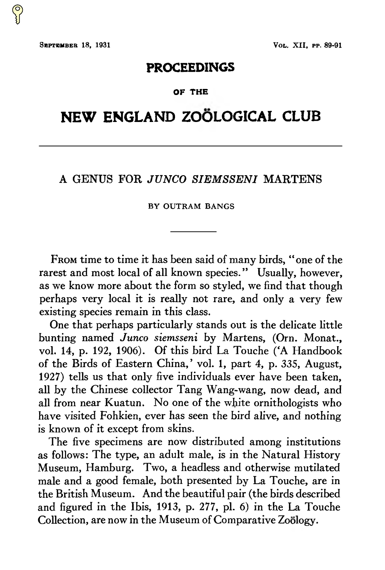## **PROCEEDINGS**

## **OF THE**

# **NEW ENGLAND ZOÖLOGICAL CLUB**

## A GENUS FOR *JUNCO SIEMSSENI* MARTENS

#### BY OUTRAM BANGS

From time to time it has been said of many birds, "one of the rarest and most local of all known species." Usually, however, as we know more about the form so styled, we find that though perhaps very local it is really not rare, and only a very few existing species remain in this class.

One that perhaps particularly stands out is the delicate little bunting named *Junco siemsseni* by Martens, (*Orn. Monat.*, vol. **14**, p. 192, 1906). Of this bird La Touche (*A Handbook of the Birds of Eastern China*, vol. **<sup>1</sup>**, part 4, p. 335, August, 1927) tells us that only five individuals ever have been taken, all by the Chinese collector Tang Wang-wang, now dead, and all from near Kuatun. No one of the white ornithologists who have visited Fohkien, ever has seen the bird alive, and nothing is known of it except from skins.

The five specimens are now distributed among institutions as follows: The type, an adult male, is in the Natural History Museum, Hamburg. Two, a headless and otherwise mutilated male and a good female, both presented by La Touche, are in the British Museum. And the beautiful pair (the birds described and figured in *The Ibis*, 1913, p. 277, pl. 6) in the La Touche Collection, are now in the Museum of Comparative Zoölogy.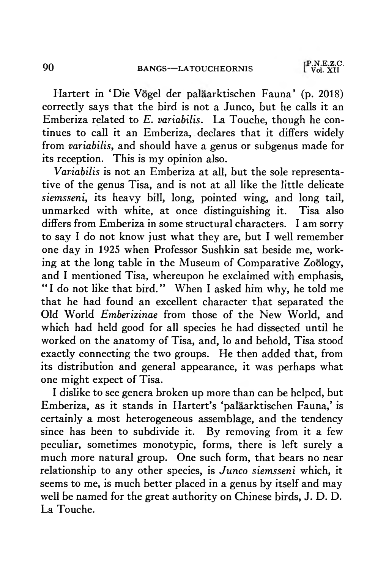Hartert in *Die Vogel der paläarktischen Fauna* (p. 2018) correctly says that the bird is not a Junco, but he calls it an *Emberiza* related to *E. variabilis*. La Touche, though he continues to call it an *Emberiza*, declares that it differs widely from *variabilis*, and should have a genus or subgenus made for its reception. This is my opinion also.

*variabilis* is not an Emberiza at all, but the sole representative of the genus *Tisa*, and is not at all like the little delicate *siemsseni*, its heavy bill, long, pointed wing, and long tail, unmarked with white, at once distinguishing it. *Tisa* also differs from *Emberiza* in some structural characters. I am sorry to say I do not know just what they are, but I well remember one day in 1925 when Professor Sushkin sat beside me, working at the long table in the Museum of Comparative Zoology, and I mentioned *Tisa*, whereupon he exclaimed with emphasis, "<sup>I</sup> do not like that bird". When <sup>I</sup> asked him why, he told me that he had found an excellent character that separated the Old World Emberizinae from those of the New World, and which had held good for all species he had dissected until he worked on the anatomy of *Tisa*, and, lo and behold, *Tisa* stood exactly connecting the two groups. He then added that, from its distribution and general appearance, it was perhaps what one might expect of *Tisa*.

I dislike to see genera broken up more than can be helped, but *Emberiza*, as it stands in Hartert's 'paläarktischen Fauna'.is certainly a most heterogeneous assemblage, and the tendency since has been to subdivide it. By removing from it a few peculiar, sometimes monotypic, forms, there is left surely a much more natural group. One such form, that bears no near relationship to any other species, is *Junco siemsseni* which, it seems to me, is much better placed in a genus by itself and may well be named for the great authority on Chinese birds, J.D.D. La Touche.